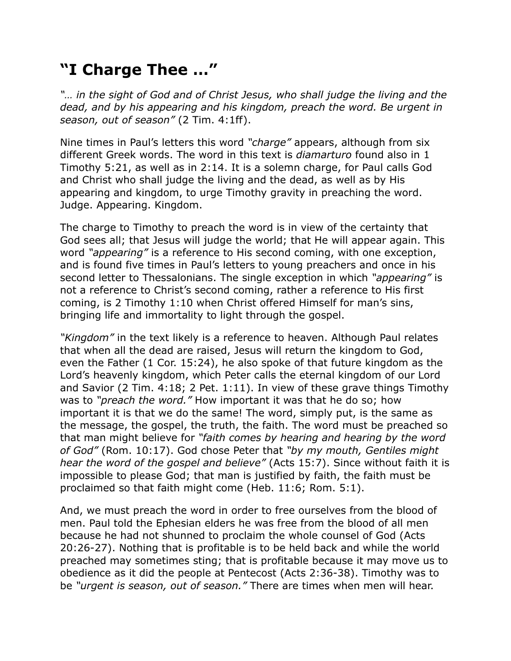## **"I Charge Thee …"**

*"… in the sight of God and of Christ Jesus, who shall judge the living and the*  dead, and by his appearing and his kingdom, preach the word. Be urgent in *season, out of season"* (2 Tim. 4:1ff).

Nine times in Paul's letters this word *"charge"* appears, although from six different Greek words. The word in this text is *diamarturo* found also in 1 Timothy 5:21, as well as in 2:14. It is a solemn charge, for Paul calls God and Christ who shall judge the living and the dead, as well as by His appearing and kingdom, to urge Timothy gravity in preaching the word. Judge. Appearing. Kingdom.

The charge to Timothy to preach the word is in view of the certainty that God sees all; that Jesus will judge the world; that He will appear again. This word *"appearing"* is a reference to His second coming, with one exception, and is found five times in Paul's letters to young preachers and once in his second letter to Thessalonians. The single exception in which *"appearing"* is not a reference to Christ's second coming, rather a reference to His first coming, is 2 Timothy 1:10 when Christ offered Himself for man's sins, bringing life and immortality to light through the gospel.

*"Kingdom"* in the text likely is a reference to heaven. Although Paul relates that when all the dead are raised, Jesus will return the kingdom to God, even the Father (1 Cor. 15:24), he also spoke of that future kingdom as the Lord's heavenly kingdom, which Peter calls the eternal kingdom of our Lord and Savior (2 Tim. 4:18; 2 Pet. 1:11). In view of these grave things Timothy was to *"preach the word."* How important it was that he do so; how important it is that we do the same! The word, simply put, is the same as the message, the gospel, the truth, the faith. The word must be preached so that man might believe for *"faith comes by hearing and hearing by the word of God"* (Rom. 10:17). God chose Peter that *"by my mouth, Gentiles might hear the word of the gospel and believe"* (Acts 15:7). Since without faith it is impossible to please God; that man is justified by faith, the faith must be proclaimed so that faith might come (Heb. 11:6; Rom. 5:1).

And, we must preach the word in order to free ourselves from the blood of men. Paul told the Ephesian elders he was free from the blood of all men because he had not shunned to proclaim the whole counsel of God (Acts 20:26-27). Nothing that is profitable is to be held back and while the world preached may sometimes sting; that is profitable because it may move us to obedience as it did the people at Pentecost (Acts 2:36-38). Timothy was to be *"urgent is season, out of season."* There are times when men will hear.